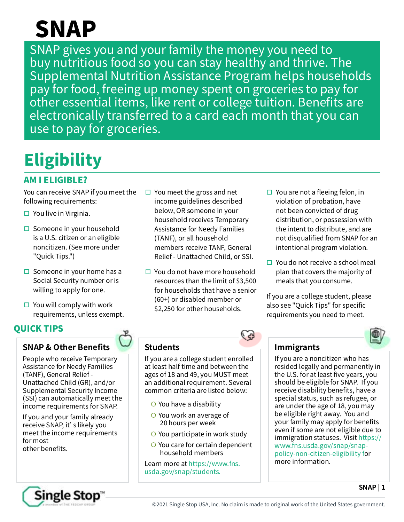# SNAP

SNAP gives you and your family the money you need to buy nutritious food so you can stay healthy and thrive. The Supplemental Nutrition Assistance Program helps households pay for food, freeing up money spent on groceries to pay for other essential items, like rent or college tuition. Benefits are electronically transferred to a card each month that you can use to pay for groceries.

# **Eligibility**

## AM I ELIGIBLE?

You can receive SNAP if you meet the following requirements:

- $\Box$  You live in Virginia.
- $\square$  Someone in your household is a U.S. citizen or an eligible noncitizen. (See more under "Quick Tips.")
- $\Box$  Someone in your home has a Social Security number or is willing to apply for one.
- $\Box$  You will comply with work requirements, unless exempt.

## QUICK TIPS

## **SNAP & Other Benefits**

People who receive Temporary Assistance for Needy Families (TANF), General Relief - Unattached Child (GR), and/or Supplemental Security Income (SSI) can automatically meet the income requirements for SNAP.

If you and your family already receive SNAP, it's likely you meet the income requirements for most other benefits.

- $\Box$  You meet the gross and net income guidelines described below, OR someone in your household receives Temporary Assistance for Needy Families (TANF), or all household members receive TANF, General Relief - Unattached Child, or SSI.
- $\Box$  You do not have more household resources than the limit of \$3,500 for households that have a senior (60+) or disabled member or \$2,250 for other households.
- $\Box$  You are not a fleeing felon, in violation of probation, have not been convicted of drug distribution, or possession with the intent to distribute, and are not disqualified from SNAP for an intentional program violation.
- $\Box$  You do not receive a school meal plan that covers the majority of meals that you consume.

If you are a college student, please also see "Quick Tips" for specific requirements you need to meet.



**SNAP | 1**

## **Students**

If you are a college student enrolled at least half time and between the ages of 18 and 49, you MUST meet an additional requirement. Several common criteria are listed below:

- $\bigcirc$  You have a disability
- $\bigcirc$  You work an average of 20 hours per week
- $\bigcirc$  You participate in work study
- $\bigcirc$  You care for certain dependent household members

Learn more at [https://www.fns.](https://www.fns.usda.gov/snap/students) [usda.gov/snap/students](https://www.fns.usda.gov/snap/students).

### **Immigrants**

If you are a noncitizen who has resided legally and permanently in the U.S. for at least five years, you should be eligible for SNAP. If you receive disability benefits, have a special status, such as refugee, or are under the age of 18, you may be eligible right away. You and your family may apply for benefits even if some are not eligible due to immigration statuses. Visit [https://](https://www.fns.usda.gov/snap/snap-policy-non-citizen-eligibility) [www.fns.usda.gov/snap/snap](https://www.fns.usda.gov/snap/snap-policy-non-citizen-eligibility)[policy-non-citizen-eligibility](https://www.fns.usda.gov/snap/snap-policy-non-citizen-eligibility) for more information.

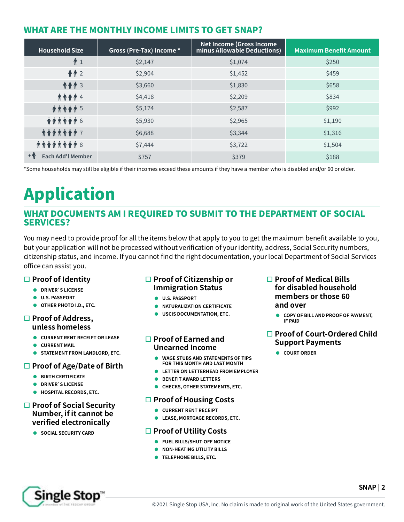### WHAT ARE THE MONTHLY INCOME LIMITS TO GET SNAP?

| <b>Household Size</b>             | Gross (Pre-Tax) Income * | <b>Net Income (Gross Income)</b><br>minus Allowable Deductions) | <b>Maximum Benefit Amount</b> |
|-----------------------------------|--------------------------|-----------------------------------------------------------------|-------------------------------|
| $\hat{\Uparrow}$ 1                | \$2,147                  | \$1,074                                                         | \$250                         |
| 齐齐 2                              | \$2,904                  | \$1,452                                                         | \$459                         |
| 介介介 3                             | \$3,660                  | \$1,830                                                         | \$658                         |
| <b><i>AAAA4</i></b>               | \$4,418                  | \$2,209                                                         | \$834                         |
| <b><i>AAAAA 5</i></b>             | \$5,174                  | \$2,587                                                         | \$992                         |
| <b>乔乔乔乔乔乔</b> 6                   | \$5,930                  | \$2,965                                                         | \$1,190                       |
| <b><i><b>AAAAAA</b></i> 7</b>     | \$6,688                  | \$3,344                                                         | \$1,316                       |
| <b>AAAAAAA 8</b>                  | \$7,444                  | \$3,722                                                         | \$1,504                       |
| $+$ 1<br><b>Each Add'l Member</b> | \$757                    | \$379                                                           | \$188                         |

\*Some households may still be eligible if their incomes exceed these amounts if they have a member who is disabled and/or 60 or older.

# Application

#### WHAT DOCUMENTS AM I REQUIRED TO SUBMIT TO THE DEPARTMENT OF SOCIAL SERVICES?

You may need to provide proof for all the items below that apply to you to get the maximum benefit available to you, but your application will not be processed without verification of your identity, address, Social Security numbers, citizenship status, and income. If you cannot find the right documentation, your local Department of Social Services office can assist you.

#### **Proof of Identity**

- **DRIVER'S LICENSE**
- $\bullet$  U.S. PASSPORT
- **OTHER PHOTO I.D., ETC.**

#### **Proof of Address, unless homeless**

- **CURRENT RENT RECEIPT OR LEASE**
- **CURRENT MAIL**
- **STATEMENT FROM LANDLORD, ETC.**

#### **Proof of Age/Date of Birth**

- **BIRTH CERTIFICATE**
- **DRIVER'S LICENSE**
- $\bullet$  HOSPITAL RECORDS, ETC.

#### **Proof of Social Security Number, if it cannot be verified electronically**

**SOCIAL SECURITY CARD** 

#### **Proof of Citizenship or Immigration Status**

- z **U.S. PASSPORT**
- **NATURALIZATION CERTIFICATE**
- **USCIS DOCUMENTATION, ETC.**

#### **Proof of Earned and Unearned Income**

- **WAGE STUBS AND STATEMENTS OF TIPS FOR THIS MONTH AND LAST MONTH**
- **EXAMPLE IT A LETTERHEAD FROM EMPLOYER**
- **BENEFIT AWARD LETTERS**
- **CHECKS, OTHER STATEMENTS, ETC.**

#### **Proof of Housing Costs**

- **CURRENT RENT RECEIPT**
- **C** LEASE, MORTGAGE RECORDS, ETC.

#### **Proof of Utility Costs**

- **FUEL BILLS/SHUT-OFF NOTICE**
- **NON-HEATING UTILITY BILLS**
- **TELEPHONE BILLS, ETC.**

#### **Proof of Medical Bills for disabled household members or those 60 and over**

**COPY OF BILL AND PROOF OF PAYMENT, IF PAID**

#### **Proof of Court-Ordered Child Support Payments**

**cOURT ORDER** 

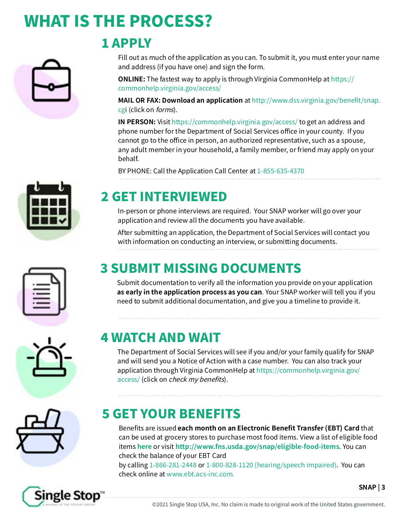# WHAT IS THE PROCESS?



# 1 APPLY

Fill out as much of the application as you can. To submit it, you must enter your name and address (if you have one) and sign the form.

**ONLINE:** The fastest way to apply is through Virginia CommonHelp at https:// commonhelp.virginia.gov/access/

**MAIL OR FAX: [Download an application](https://otda.ny.gov/programs/applications/4826.pdf)** at [http://www.dss.virginia.gov/benefit/snap.](http://www.dss.virginia.gov/benefit/snap.cgi ) [cgi \(](http://www.dss.virginia.gov/benefit/snap.cgi )click on [forms](http://www.dss.virginia.gov/benefit/snap.cgi)).

**IN PERSON:** Visit <https://commonhelp.virginia.gov/access/> to get an address and phone number for the Department of Social Services office in your county. If you cannot go to the office in person, an authorized representative, such as a spouse, any adult member in your household, a family member, or friend may apply on your behalf.

BY PHONE: Call the Application Call Center at 1-855-635-4370

# 2 GET INTERVIEWED

In-person or phone interviews are required. Your SNAP worker will go over your application and review all the documents you have available.

After submitting an application, the Department of Social Services will contact you with information on conducting an interview, or submitting documents.

# 3 SUBMIT MISSING DOCUMENTS

Submit documentation to verify all the information you provide on your application **as early in the application process as you can**. Your SNAP worker will tell you if you need to submit additional documentation, and give you a timeline to provide it.

## 4 WATCH AND WAIT

The Department of Social Services will see if you and/or your family qualify for SNAP and will send you a Notice of Action with a case number. You can also track your application through Virginia CommonHelp at [https://commonhelp.virginia.gov/](https://commonhelp.virginia.gov/access/ ) [access/](https://commonhelp.virginia.gov/access/ ) (click on [check my benefits](https://commonhelp.virginia.gov/access/ )).

# 5 GET YOUR BENEFITS

Benefits are issued **each month on an Electronic Benefit Transfer (EBT) Card** that can be used at grocery stores to purchase most food items. View a list of eligible food items **[here](http://www.fns.usda.gov/snap/eligible-food-items)** or visit **<http://www.fns.usda.gov/snap/eligible-food-items>**. You can check the balance of your EBT Card

by calling 1-866-281-2448 or 1-800-828-1120 (hearing/speech impaired). You can check online at [www.ebt.acs-inc.com.](http://www.ebt.acs-inc.com)



**SNAP | 3**